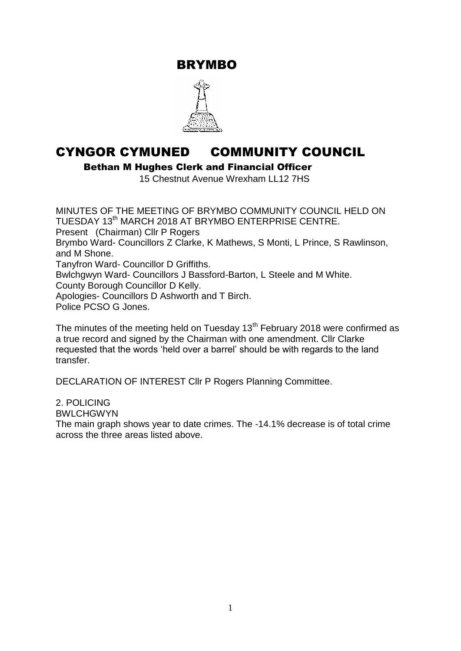BRYMBO



# CYNGOR CYMUNED COMMUNITY COUNCIL

Bethan M Hughes Clerk and Financial Officer

15 Chestnut Avenue Wrexham LL12 7HS

MINUTES OF THE MEETING OF BRYMBO COMMUNITY COUNCIL HELD ON TUESDAY 13<sup>th</sup> MARCH 2018 AT BRYMBO ENTERPRISE CENTRE. Present (Chairman) Cllr P Rogers Brymbo Ward- Councillors Z Clarke, K Mathews, S Monti, L Prince, S Rawlinson, and M Shone. Tanyfron Ward- Councillor D Griffiths. Bwlchgwyn Ward- Councillors J Bassford-Barton, L Steele and M White. County Borough Councillor D Kelly. Apologies- Councillors D Ashworth and T Birch. Police PCSO G Jones.

The minutes of the meeting held on Tuesday  $13<sup>th</sup>$  February 2018 were confirmed as a true record and signed by the Chairman with one amendment. Cllr Clarke requested that the words 'held over a barrel' should be with regards to the land transfer.

DECLARATION OF INTEREST Cllr P Rogers Planning Committee.

2. POLICING

**BWLCHGWYN** 

The main graph shows year to date crimes. The -14.1% decrease is of total crime across the three areas listed above.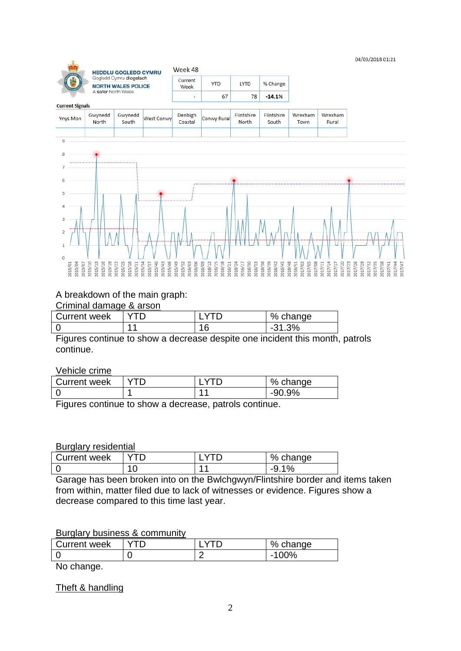#### 04/03/2018 01:21



#### A breakdown of the main graph:

#### Criminal damage & arson

| <b>Current week</b> |     |          | % change |
|---------------------|-----|----------|----------|
|                     | . . | 1 C<br>u | 3%       |

Figures continue to show a decrease despite one incident this month, patrols continue.

Vehicle crime

| <b>Current week</b> |  | % change |
|---------------------|--|----------|
|                     |  | $-90.9%$ |

Figures continue to show a decrease, patrols continue.

#### Burglary residential

| <b>Current week</b> |  | % change |
|---------------------|--|----------|
|                     |  | -u<br>7с |

Garage has been broken into on the Bwlchgwyn/Flintshire border and items taken from within, matter filed due to lack of witnesses or evidence. Figures show a decrease compared to this time last year.

#### Burglary business & community

| Current week |   | % change      |
|--------------|---|---------------|
|              | _ | $20\%$<br>- - |

No change.

Theft & handling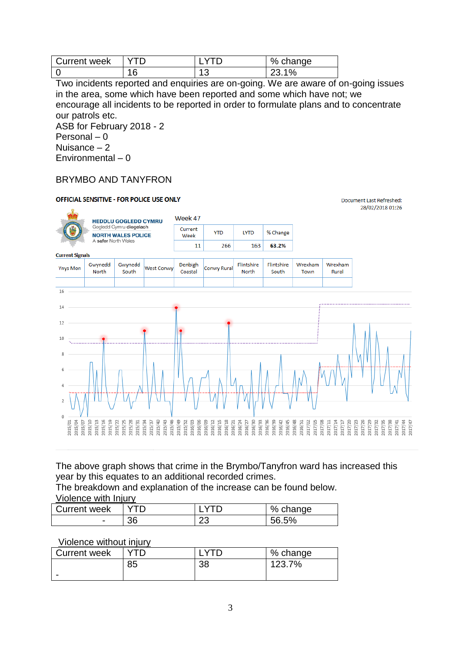| Current week |     | % change |
|--------------|-----|----------|
|              | ں ، | $1\%$    |

Two incidents reported and enquiries are on-going. We are aware of on-going issues in the area, some which have been reported and some which have not; we encourage all incidents to be reported in order to formulate plans and to concentrate our patrols etc.

ASB for February 2018 - 2 Personal – 0 Nuisance – 2 Environmental – 0

## BRYMBO AND TANYFRON

#### **OFFICIAL SENSITIVE - FOR POLICE USE ONLY** Document Last Refreshed: 28/02/2018 01:26 Week 47 **HEDDLU GOGLEDD CYMRU** Gogledd Cymru diogelach Current **YTD LYTD** % Change **NORTH WALES POLICE** Week A safer North Wales  $11$ 266 163 63.2% **Current Signals** Gwynedd Gwynedd Denbigh Flintshire Flintshire Wrexham Wrexham **Ynys Mon** West Conwy Conwy Rural North South Coastal North South Town Rural  $\overline{16}$ 14 12  $10$ 6  $\overline{0}$ 016/33 1015/10 1015/13 015/19  $015/25$ 015/28 015/40 015/43 015/52 016/03 016/18  $016/30$  $016/39$ 1016/42 1016/45 016/48 016/51 017/02 017/05 017/08 017/11 1017/14 1017/20 017/23 1017/29 017/32 017/35 1015/01 15/46 15/49 116/36 1017/17 1017/26 017/44<br>017/47 015/04 015/16  $015/31$  $16/06$ 116/12 116/15 117/38  $015/3$ 016/27

The above graph shows that crime in the Brymbo/Tanyfron ward has increased this year by this equates to an additional recorded crimes.

The breakdown and explanation of the increase can be found below. Violence with Injury

| Current week             |    |          | $% \mathcal{A} \rightarrow \mathcal{A}$<br>change |
|--------------------------|----|----------|---------------------------------------------------|
| $\overline{\phantom{0}}$ | 36 | nr.<br>∼ | 56.5%                                             |

### Violence without injury

| <b>Current week</b> |    |          | % change |
|---------------------|----|----------|----------|
|                     | 85 | ററ<br>၁ဝ | 123.7%   |
| -                   |    |          |          |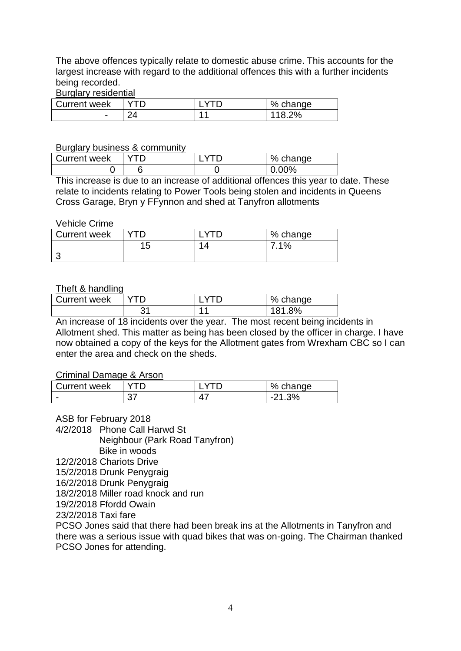The above offences typically relate to domestic abuse crime. This accounts for the largest increase with regard to the additional offences this with a further incidents being recorded.

#### Burglary residential

| <b>Current week</b> |        | % change   |
|---------------------|--------|------------|
| -                   | $\sim$ | 2%<br>11.R |

#### Burglary business & community

| <b>Current week</b> |  | % change |
|---------------------|--|----------|
|                     |  | $0.00\%$ |

This increase is due to an increase of additional offences this year to date. These relate to incidents relating to Power Tools being stolen and incidents in Queens Cross Garage, Bryn y FFynnon and shed at Tanyfron allotments

#### Vehicle Crime

| Current week |           |          | % change |
|--------------|-----------|----------|----------|
|              | ィド<br>l J | $\prime$ | 7.1%     |
|              |           |          |          |

#### Theft & handling

| Current week |           | % change  |
|--------------|-----------|-----------|
|              | າ 1<br>ັບ | 8%<br>121 |

An increase of 18 incidents over the year. The most recent being incidents in Allotment shed. This matter as being has been closed by the officer in charge. I have now obtained a copy of the keys for the Allotment gates from Wrexham CBC so I can enter the area and check on the sheds.

#### Criminal Damage & Arson

| <b>Current week</b> |         |                          | %<br>change |
|---------------------|---------|--------------------------|-------------|
| -                   | ∩¬<br>ິ | $\overline{\phantom{a}}$ | 3%<br>$-$   |

ASB for February 2018

4/2/2018 Phone Call Harwd St

Neighbour (Park Road Tanyfron)

Bike in woods

12/2/2018 Chariots Drive

15/2/2018 Drunk Penygraig

16/2/2018 Drunk Penygraig

18/2/2018 Miller road knock and run

19/2/2018 Ffordd Owain

23/2/2018 Taxi fare

PCSO Jones said that there had been break ins at the Allotments in Tanyfron and there was a serious issue with quad bikes that was on-going. The Chairman thanked PCSO Jones for attending.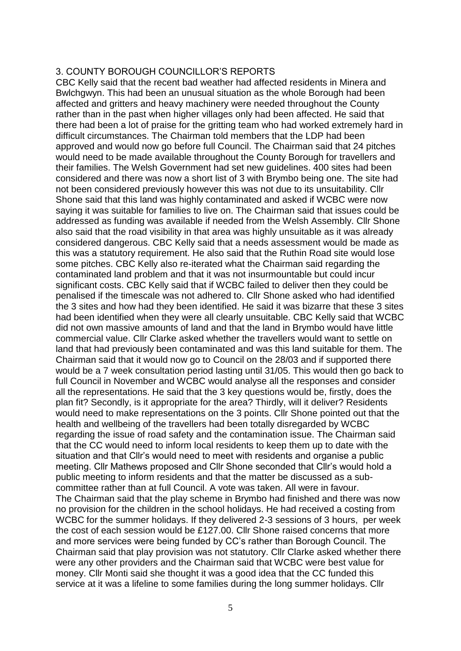#### 3. COUNTY BOROUGH COUNCILLOR'S REPORTS

CBC Kelly said that the recent bad weather had affected residents in Minera and Bwlchgwyn. This had been an unusual situation as the whole Borough had been affected and gritters and heavy machinery were needed throughout the County rather than in the past when higher villages only had been affected. He said that there had been a lot of praise for the gritting team who had worked extremely hard in difficult circumstances. The Chairman told members that the LDP had been approved and would now go before full Council. The Chairman said that 24 pitches would need to be made available throughout the County Borough for travellers and their families. The Welsh Government had set new guidelines. 400 sites had been considered and there was now a short list of 3 with Brymbo being one. The site had not been considered previously however this was not due to its unsuitability. Cllr Shone said that this land was highly contaminated and asked if WCBC were now saying it was suitable for families to live on. The Chairman said that issues could be addressed as funding was available if needed from the Welsh Assembly. Cllr Shone also said that the road visibility in that area was highly unsuitable as it was already considered dangerous. CBC Kelly said that a needs assessment would be made as this was a statutory requirement. He also said that the Ruthin Road site would lose some pitches. CBC Kelly also re-iterated what the Chairman said regarding the contaminated land problem and that it was not insurmountable but could incur significant costs. CBC Kelly said that if WCBC failed to deliver then they could be penalised if the timescale was not adhered to. Cllr Shone asked who had identified the 3 sites and how had they been identified. He said it was bizarre that these 3 sites had been identified when they were all clearly unsuitable. CBC Kelly said that WCBC did not own massive amounts of land and that the land in Brymbo would have little commercial value. Cllr Clarke asked whether the travellers would want to settle on land that had previously been contaminated and was this land suitable for them. The Chairman said that it would now go to Council on the 28/03 and if supported there would be a 7 week consultation period lasting until 31/05. This would then go back to full Council in November and WCBC would analyse all the responses and consider all the representations. He said that the 3 key questions would be, firstly, does the plan fit? Secondly, is it appropriate for the area? Thirdly, will it deliver? Residents would need to make representations on the 3 points. Cllr Shone pointed out that the health and wellbeing of the travellers had been totally disregarded by WCBC regarding the issue of road safety and the contamination issue. The Chairman said that the CC would need to inform local residents to keep them up to date with the situation and that Cllr's would need to meet with residents and organise a public meeting. Cllr Mathews proposed and Cllr Shone seconded that Cllr's would hold a public meeting to inform residents and that the matter be discussed as a subcommittee rather than at full Council. A vote was taken. All were in favour. The Chairman said that the play scheme in Brymbo had finished and there was now no provision for the children in the school holidays. He had received a costing from WCBC for the summer holidays. If they delivered 2-3 sessions of 3 hours, per week the cost of each session would be £127.00. Cllr Shone raised concerns that more and more services were being funded by CC's rather than Borough Council. The Chairman said that play provision was not statutory. Cllr Clarke asked whether there were any other providers and the Chairman said that WCBC were best value for money. Cllr Monti said she thought it was a good idea that the CC funded this service at it was a lifeline to some families during the long summer holidays. Cllr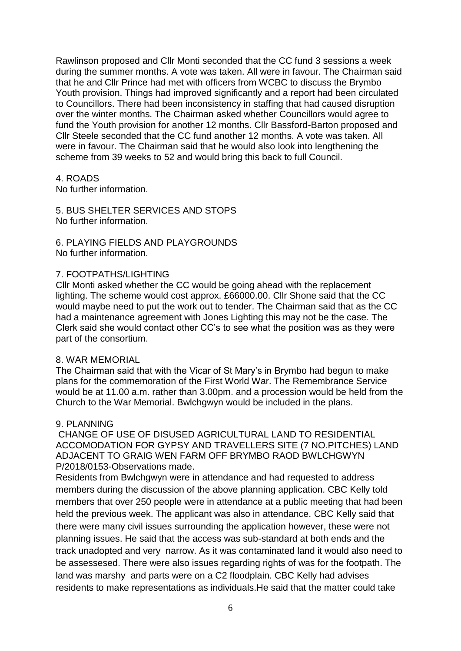Rawlinson proposed and Cllr Monti seconded that the CC fund 3 sessions a week during the summer months. A vote was taken. All were in favour. The Chairman said that he and Cllr Prince had met with officers from WCBC to discuss the Brymbo Youth provision. Things had improved significantly and a report had been circulated to Councillors. There had been inconsistency in staffing that had caused disruption over the winter months. The Chairman asked whether Councillors would agree to fund the Youth provision for another 12 months. Cllr Bassford-Barton proposed and Cllr Steele seconded that the CC fund another 12 months. A vote was taken. All were in favour. The Chairman said that he would also look into lengthening the scheme from 39 weeks to 52 and would bring this back to full Council.

#### 4. ROADS

No further information.

5. BUS SHELTER SERVICES AND STOPS No further information.

6. PLAYING FIELDS AND PLAYGROUNDS No further information.

#### 7. FOOTPATHS/LIGHTING

Cllr Monti asked whether the CC would be going ahead with the replacement lighting. The scheme would cost approx. £66000.00. Cllr Shone said that the CC would maybe need to put the work out to tender. The Chairman said that as the CC had a maintenance agreement with Jones Lighting this may not be the case. The Clerk said she would contact other CC's to see what the position was as they were part of the consortium.

#### 8. WAR MEMORIAL

The Chairman said that with the Vicar of St Mary's in Brymbo had begun to make plans for the commemoration of the First World War. The Remembrance Service would be at 11.00 a.m. rather than 3.00pm. and a procession would be held from the Church to the War Memorial. Bwlchgwyn would be included in the plans.

#### 9. PLANNING

CHANGE OF USE OF DISUSED AGRICULTURAL LAND TO RESIDENTIAL ACCOMODATION FOR GYPSY AND TRAVELLERS SITE (7 NO.PITCHES) LAND ADJACENT TO GRAIG WEN FARM OFF BRYMBO RAOD BWLCHGWYN P/2018/0153-Observations made.

Residents from Bwlchgwyn were in attendance and had requested to address members during the discussion of the above planning application. CBC Kelly told members that over 250 people were in attendance at a public meeting that had been held the previous week. The applicant was also in attendance. CBC Kelly said that there were many civil issues surrounding the application however, these were not planning issues. He said that the access was sub-standard at both ends and the track unadopted and very narrow. As it was contaminated land it would also need to be assessesed. There were also issues regarding rights of was for the footpath. The land was marshy and parts were on a C2 floodplain. CBC Kelly had advises residents to make representations as individuals.He said that the matter could take